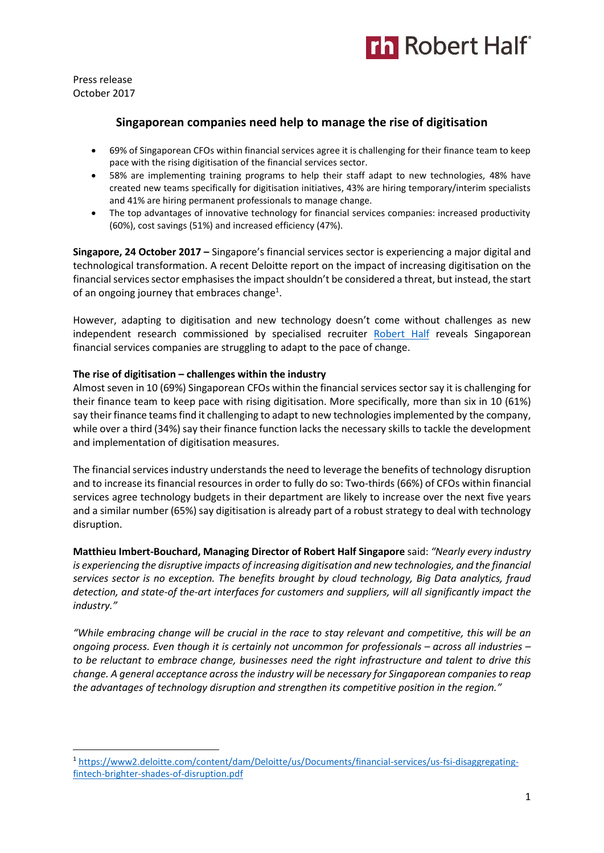

Press release October 2017

**.** 

# **Singaporean companies need help to manage the rise of digitisation**

- 69% of Singaporean CFOs within financial services agree it is challenging for their finance team to keep pace with the rising digitisation of the financial services sector.
- 58% are implementing training programs to help their staff adapt to new technologies, 48% have created new teams specifically for digitisation initiatives, 43% are hiring temporary/interim specialists and 41% are hiring permanent professionals to manage change.
- The top advantages of innovative technology for financial services companies: increased productivity (60%), cost savings (51%) and increased efficiency (47%).

**Singapore, 24 October 2017 –** Singapore's financial services sector is experiencing a major digital and technological transformation. A recent Deloitte report on the impact of increasing digitisation on the financial services sector emphasises the impact shouldn't be considered a threat, but instead, the start of an ongoing journey that embraces change<sup>1</sup>.

However, adapting to digitisation and new technology doesn't come without challenges as new independent research commissioned by specialised recruiter [Robert](https://www.roberthalf.com.sg/?utm_source=roberthalf&utm_medium=pressrelease&utm_campaign=rh-all-nonspecific-ongoing) Half reveals Singaporean financial services companies are struggling to adapt to the pace of change.

### **The rise of digitisation – challenges within the industry**

Almost seven in 10 (69%) Singaporean CFOs within the financial services sector say it is challenging for their finance team to keep pace with rising digitisation. More specifically, more than six in 10 (61%) say their finance teams find it challenging to adapt to new technologies implemented by the company, while over a third (34%) say their finance function lacks the necessary skills to tackle the development and implementation of digitisation measures.

The financial services industry understands the need to leverage the benefits of technology disruption and to increase its financial resources in order to fully do so: Two-thirds (66%) of CFOs within financial services agree technology budgets in their department are likely to increase over the next five years and a similar number (65%) say digitisation is already part of a robust strategy to deal with technology disruption.

**Matthieu Imbert-Bouchard, Managing Director of Robert Half Singapore** said: *"Nearly every industry is experiencing the disruptive impacts of increasing digitisation and new technologies, and the financial services sector is no exception. The benefits brought by cloud technology, Big Data analytics, fraud detection, and state-of the-art interfaces for customers and suppliers, will all significantly impact the industry."*

*"While embracing change will be crucial in the race to stay relevant and competitive, this will be an ongoing process. Even though it is certainly not uncommon for professionals – across all industries – to be reluctant to embrace change, businesses need the right infrastructure and talent to drive this change. A general acceptance across the industry will be necessary for Singaporean companies to reap the advantages of technology disruption and strengthen its competitive position in the region."*

<sup>1</sup> [https://www2.deloitte.com/content/dam/Deloitte/us/Documents/financial-services/us-fsi-disaggregating](https://www2.deloitte.com/content/dam/Deloitte/us/Documents/financial-services/us-fsi-disaggregating-fintech-brighter-shades-of-disruption.pdf)[fintech-brighter-shades-of-disruption.pdf](https://www2.deloitte.com/content/dam/Deloitte/us/Documents/financial-services/us-fsi-disaggregating-fintech-brighter-shades-of-disruption.pdf)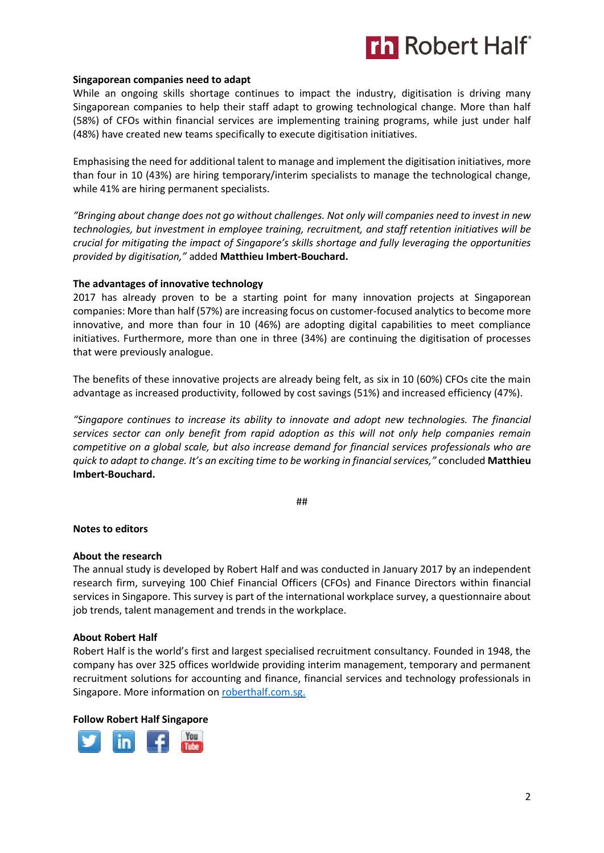

### **Singaporean companies need to adapt**

While an ongoing skills shortage continues to impact the industry, digitisation is driving many Singaporean companies to help their staff adapt to growing technological change. More than half (58%) of CFOs within financial services are implementing training programs, while just under half (48%) have created new teams specifically to execute digitisation initiatives.

Emphasising the need for additional talent to manage and implement the digitisation initiatives, more than four in 10 (43%) are hiring temporary/interim specialists to manage the technological change, while 41% are hiring permanent specialists.

*"Bringing about change does not go without challenges. Not only will companies need to invest in new technologies, but investment in employee training, recruitment, and staff retention initiatives will be crucial for mitigating the impact of Singapore's skills shortage and fully leveraging the opportunities provided by digitisation,"* added **Matthieu Imbert-Bouchard.**

### **The advantages of innovative technology**

2017 has already proven to be a starting point for many innovation projects at Singaporean companies: More than half (57%) are increasing focus on customer-focused analytics to become more innovative, and more than four in 10 (46%) are adopting digital capabilities to meet compliance initiatives. Furthermore, more than one in three (34%) are continuing the digitisation of processes that were previously analogue.

The benefits of these innovative projects are already being felt, as six in 10 (60%) CFOs cite the main advantage as increased productivity, followed by cost savings (51%) and increased efficiency (47%).

*"Singapore continues to increase its ability to innovate and adopt new technologies. The financial services sector can only benefit from rapid adoption as this will not only help companies remain competitive on a global scale, but also increase demand for financial services professionals who are quick to adapt to change. It's an exciting time to be working in financial services,"* concluded **Matthieu Imbert-Bouchard.** 

##

#### **Notes to editors**

#### **About the research**

The annual study is developed by Robert Half and was conducted in January 2017 by an independent research firm, surveying 100 Chief Financial Officers (CFOs) and Finance Directors within financial services in Singapore. This survey is part of the international workplace survey, a questionnaire about job trends, talent management and trends in the workplace.

#### **About Robert Half**

Robert Half is the world's first and largest specialised recruitment consultancy. Founded in 1948, the company has over 325 offices worldwide providing interim management, temporary and permanent recruitment solutions for accounting and finance, financial services and technology professionals in Singapore. More information o[n roberthalf.com.sg.](https://www.roberthalf.com.sg/?utm_source=roberthalf&utm_medium=pressrelease&utm_campaign=rh-all-nonspecific-ongoing)

#### **Follow Robert Half Singapore**